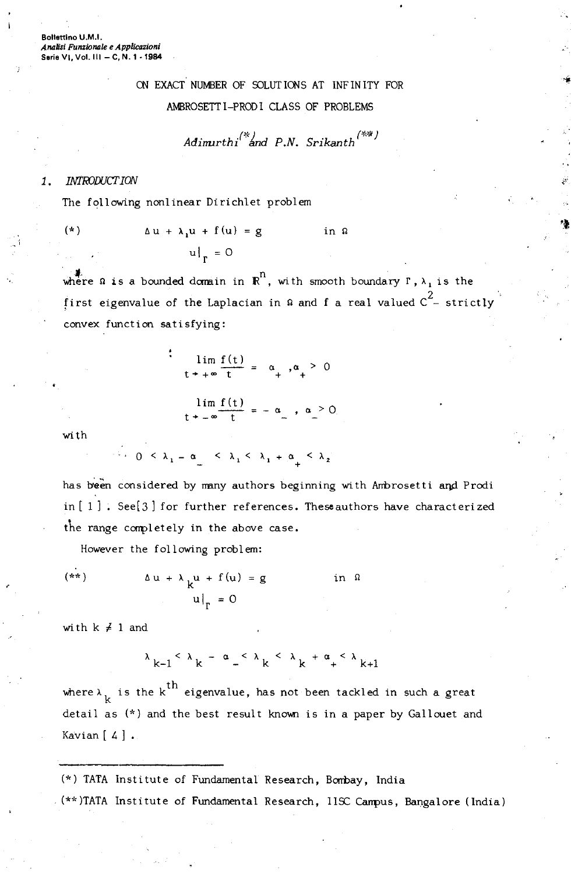Bollettino U.M.I. *Analin Funzionale e Applicazioni* Serie VI, Vol. **III** - C, N. 1 -1984

## ON EXACT NUMBER OF SOLUTIONS AT INFINITY FOR AMBROSETTI-PRODICLASS OF PROBLEMS

$$
Adimurthi^{(*)}
$$
 and P.N. Srikanth<sup>(\*\*)</sup>

## 1. INTRODUCT ION

The following nonlinear Dirichlet problem

$$
\Delta u + \lambda_1 u + f(u) = g \qquad \text{in } \Omega
$$

where  $\Omega$  is a bounded domain in  $\mathbb{R}^n$ , with smooth boundary  $\Gamma$ ,  $\lambda$ , is the 2 first eigenvalue of the Laplacian in  $w$  and f a real valued  $C -$  strict convex function satisfying:

> $\lim_{t \to +\infty} \frac{f(t)}{t} = \alpha_*, \alpha_+ > 0$  $\lim_{t \to -\infty} \frac{f(t)}{t} = -\alpha$ ,  $\alpha > 0$

with

 $\lambda_1$  0 <  $\lambda_1$  -  $\alpha$  <  $\lambda_2$  <  $\lambda_3$  <  $\lambda_1$  +  $\alpha$  <  $\lambda_2$ 

has been considered by many authors beginning with Ambrosetti and Prodi in  $[1]$  . See $[3]$  for further references. These authors have characterized the range completely in the above case.

However the following problem:

$$
\Delta u + \lambda \mu + f(u) = g \quad \text{in } \Omega
$$
  
 
$$
u|_{\Gamma} = 0
$$

with  $k \neq 1$  and

$$
\lambda_{k-1} < \lambda_k - \alpha_{-} < \lambda_k < \lambda_k + \alpha_{+} < \lambda_{k+1}
$$

where  $\lambda_{k}$  is the k<sup>th</sup> eigenvalue, has not been tackled in such a great detail as (\*) and the best result known is in a paper by Gallouet and Kavian  $[4]$ .

(\*) TATA Institute of Fundamental Research, Bombay, India (\*\*)TATA Institute of Fundamental Research, IISC Campus, Bangalore (India)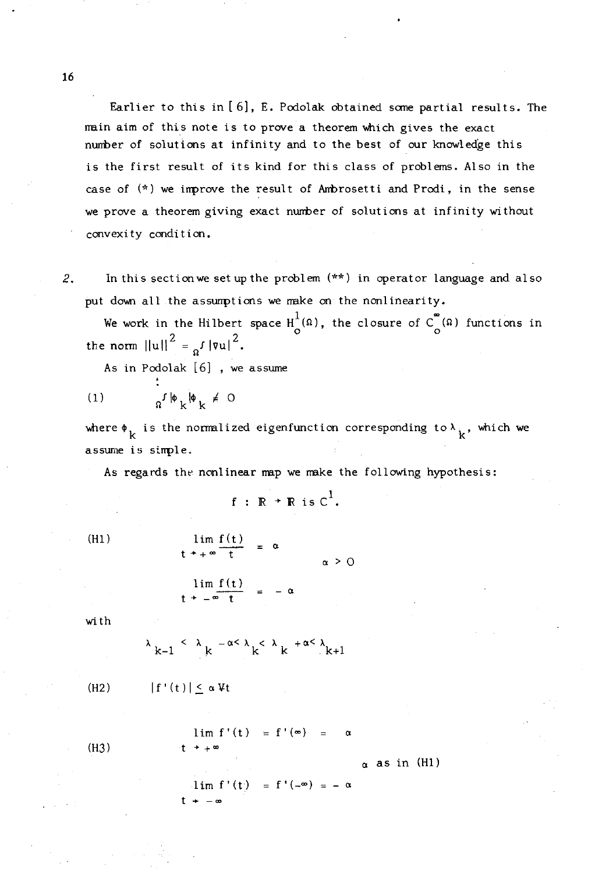Earlier to this in [6], E. Podolak obtained some partial results. The main aim of this note is to prove a theorem which gives the exact number of solutions at infinity and to the best of our knowledge this is the first result of its kind for this class of problems. Also in the case of (\*) we improve the result of Arrbrosetti and Prodi, in the sense we prove a theorem giving exact number of solutions at infinity without convexity condition.

2. In this sectionwe set up the problem (\*\*) in operator language and also put down all the assumptions we make on the nonlinearity.

We work in the Hilbert space  $H^{1}_{\alpha}(\Omega)$ , the closure of  $C^{^{\infty}}_{\alpha}(\Omega)$  functions in 2  $\sim$  2 the norm  $\|\mathbf{u}\| = \mathbf{u}$ ,  $\|\mathbf{v}\|$ .

As in Podolak [6] , we assume

$$
(1) \t\t\t\t\t a^f | \phi_k | \phi_k \neq 0
$$

where  $\phi_k$  is the normalized eigenfunction corresponding to  $\lambda_k$ , which we assume is simple.

As regards the nonlinear map we make the following hypothesis:

$$
f \; : \; \mathbb{R} \to \mathbb{R} \; \text{is} \; \mathbb{C}^1.
$$

(HI) lim f(t)  $t^* + \infty$   $\frac{1 \text{ m} \cdot (t)}{t} = \infty$  $lim f(t)$  $t + -\infty$   $t = -\infty$  $\alpha > 0$ 

with

$$
\lambda_{k-1} \leq \lambda_k^{-\alpha \leq \lambda} k^{<\lambda} k^{+ \alpha \leq \lambda_{k+1}}
$$

 $(H2)$ 

$$
|f'(t)| \leq \alpha Vt
$$

 $(H3)$ 

 $_{\alpha}$  as in (H1)

 $\alpha$ 

 $1 \text{ im } f'(t) = f'(-\infty) = -\alpha$  $t + -\alpha$ 

 $\lim_{x \to 0} f'(t) = f'(0) =$ 

16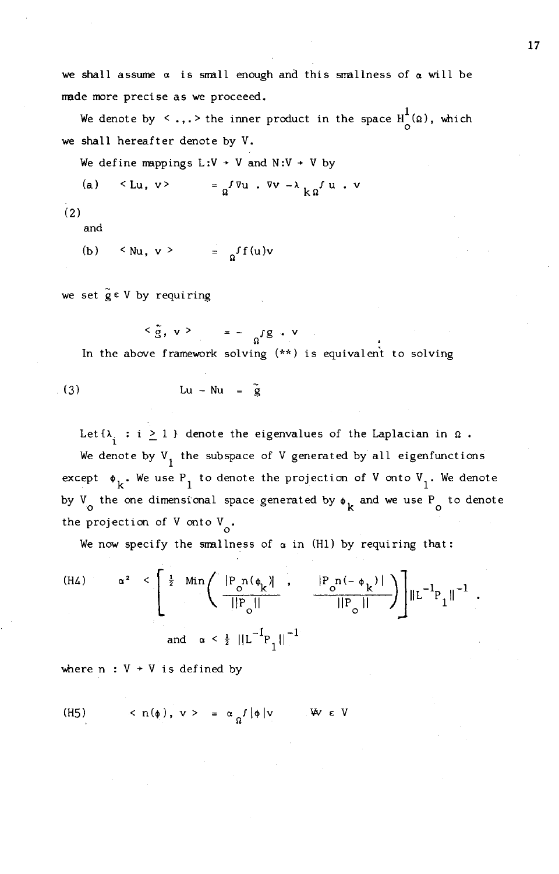we shall assume  $\alpha$  is small enough and this smallness of  $\alpha$  will be made more precise as we proceeed.

We denote by  $\langle \ \ldots, \cdot \rangle$  the inner product in the space  $\text{H}^1_\text{o}(\Omega)$ , which we shall hereafter denote by V.

We define mappings  $L:V + V$  and  $N:V + V$  by

(a) 
$$
\langle Lu, v \rangle
$$
 =  $a^{\int \nabla u \cdot \nabla v - \lambda} k a^{\int u \cdot v}$ 

(2)

and

$$
(b) \quad \leq Nu, \ v \geq \quad = \quad \int f(u)v
$$

we set  $\tilde{g} \in V$  by requiring

 $\langle \tilde{g}, v \rangle = - \int_{\Omega} f g \cdot v$ In the above framework solving (\*\*) is equivalent to solving

$$
Lu - Nu = \tilde{g}
$$

Let  ${\lambda_i : i \geq 1 }$  denote the eigenvalues of the Laplacian in  $\Omega$ . We denote by  $V_1$  the subspace of V generated by all eigenfunctions except  $\phi_k$ . We use P<sub>1</sub> to denote the projection of V onto V<sub>1</sub>. We denote by V<sub>o</sub> the one dimensional space generated by  $\phi_k$  and we use P<sub>o</sub> to denote the projection of V onto  $V_{\alpha}$ .

We now specify the smallness of  $\alpha$  in (H1) by requiring tha

We now specify the smallness of 
$$
\alpha
$$
 in (H1) by requiring that:  
\n(H4) 
$$
\alpha^2 \le \left[ \frac{1}{2} \min \left( \frac{|P_{o} \cap (\phi_k)|}{||P_{o}||} \right) + \frac{|P_{o} \cap (-\phi_k)|}{||P_{o}||} \right) \left[ ||L^{-1}P_{1}||^{-1} \right]
$$
\nand  $\alpha \le \frac{1}{2} ||L^{-1}P_{1}||^{-1}$ 

where  $n : V + V$  is defined by

(H5) 
$$
\langle n(\phi), v \rangle = \alpha_0 f |\phi| v
$$
   
  $\forall v \in V$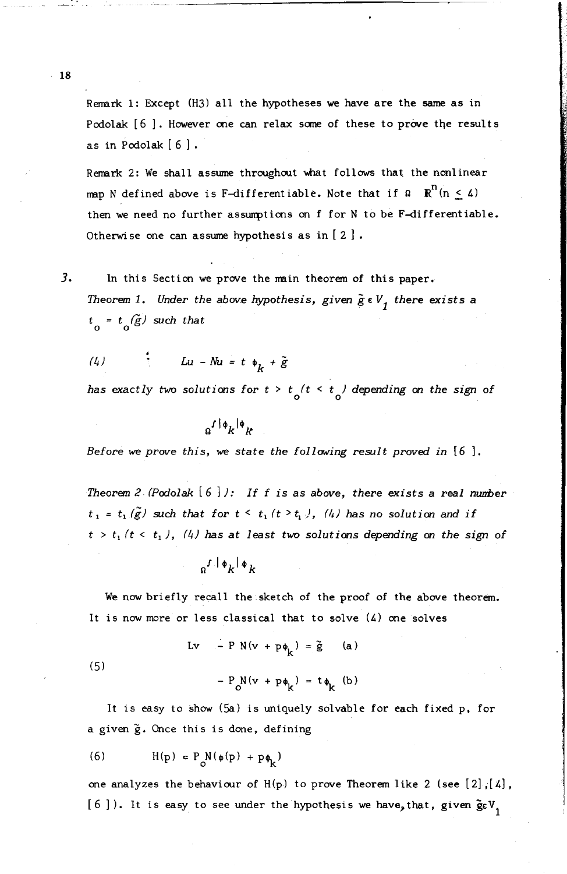Remark 1: Except (H3) all the hypotheses we have are the same as in Podolak [6]. However one can relax some of these to prove the results as in Podolak  $[6]$ .

Remark 2: We shall assume throughout what follows that the nonlinear map N defined above is F-differentiable. Note that if  $\Omega$   $\mathbb{R}^n$  (n < 4) then we need no further assumptions on f for N to be F-differentiable. Otherwise one can assume hypothesis as in  $[2]$ .

3. In this Section we prove the main theorem of this paper. *Theorem* 1. *Under the above hypothesis, given*  $\tilde{g} \in V_1$  *there exists* a  $t_{0} = t_{0}(\tilde{g})$  *such that* 

$$
(4) \t\t Lu - Nu = t \phi_k + \tilde{g}
$$

*has* exactly two solutions for  $t > t/(t < t)$  depending on the sign of

$$
a^{f|\phi}k^{|\phi}{}_{k}
$$

*Before* we *prove this,* we *state the following result proved in* [6 ].

*Theorem 2 (Podolak*  $\{6\}$ ): If f is as above, there exists a real number  $t_1 = t_1(\tilde{g})$  *such that for*  $t \leq t_1(t \geq t_1)$ , (4) *has no solution and if*  $t > t_1$  ( $t < t_1$ ), (4) has at least two solutions depending on the sign of

$$
a^{\int |\phi_k| \phi_k}
$$

We now briefly recall the sketch of the proof of the above theorem. It is now more or less classical that to solve (4) one solves

$$
Lv - P N(v + p\phi_k) = \tilde{g} \qquad (a)
$$

(5)

It is easy to show (Sa) is uniquely solvable for each fixed p, for a given g. Once this is done, defining

 $-P_{0}N(v + p\phi_{k}) = t\phi_{k}$  (b)

$$
(6) \tH(p) = P_0 N(\phi(p) + p\phi_k)
$$

one analyzes the behaviour of  $H(p)$  to prove Theorem like 2 (see [2], [4], [6]). It is easy to see under the hypothesis we have, that, given  $\tilde{g}_{\epsilon}V$ ,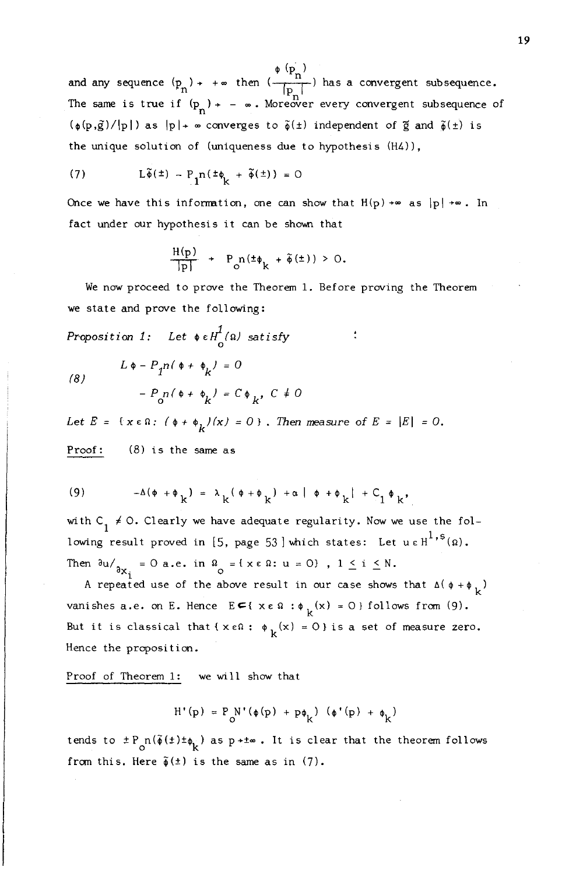$^{\phi}$   $\Phi_{\rm n}$ ) and any sequence (p ). <sup>+</sup> a> then (...,....,......) has <sup>a</sup> convergent subsequence. ·n IPnl The same is true if  $(p_n)$  + -  $\infty$ . Moreover every convergent subsequence of  $(\phi(p,\tilde{g})/|p|)$  as  $|p|$   $\rightarrow \infty$  converges to  $\tilde{\phi}(\pm)$  independent of  $\tilde{g}$  and  $\tilde{\phi}(\pm)$  is the unique solution of (uniqueness due to hypothesis  $(H4)$ ),

(7) 
$$
L\tilde{\phi}(\pm) - P_1 n(\pm \phi_k + \tilde{\phi}(\pm)) = 0
$$

Once we have this information, one can show that  $H(p) \rightarrow \infty$  as  $|p| \rightarrow \infty$ . In fact under our hypothesis it can be shown that

$$
\frac{H(p)}{|p|} + P_{\circ} n(\pm \phi_k + \tilde{\phi}(\pm)) > 0.
$$

We now proceed to prove the Theorem 1. Before proving the Theorem we state and prove the following:

Proposition 1: Let  $\oint_{0}^{1}$  ( $\Omega$ ) satis

(8)  

$$
L \phi - P_1 n (\phi + \phi_k) = 0
$$

$$
- P_0 n (\phi + \phi_k) = C \phi_k, C \neq 0
$$

Let  $E = \{x \in \Omega: (\phi + \phi_L)(x) = 0\}$ . Then measure of  $E = |E| = 0$ . Proof: (8) is the same as

(9) 
$$
-\Delta(\phi + \phi_k) = \lambda_k(\phi + \phi_k) + \alpha |\phi + \phi_k| + C_1 \phi_k,
$$

with  $C_1 \neq 0$ . Clearly we have adequate regularity. Now we use the following result proved in [5, page 53] which states: Let u e H<sup>1, s</sup>(2 Then  $\partial u /_{\partial x_i} = 0$  a.e. in  $\Omega = \{x \in \Omega : u = 0\}$ ,  $1 \le i \le N$ .

A repeated use of the above result in our case shows that  $\Delta(\phi + \phi_k)$ vanishes a.e. on E. Hence  $E \subseteq \{x \in \Omega : \phi_k(x) = 0\}$  follows from (9). But it is classical that { $x \in \Omega$ :  $\phi_L(x) = 0$ } is a set of measure zero. Hence the proposition.

Proof of Theorem 1: we will show that

$$
H^+(p)~=~P^>_O V^+(\phi(p)~+~p\phi_k^{})~~(\phi^+(p)~+~\phi_k^{})
$$

tends to  $\pm P_{\text{o}}n(\tilde{\phi}(\pm)\pm\phi_{\vec{k}})$  as p+ $\pm\infty$ . It is clear that the theorem follows from this. Here  $\tilde{\phi}(\pm)$  is the same as in (7).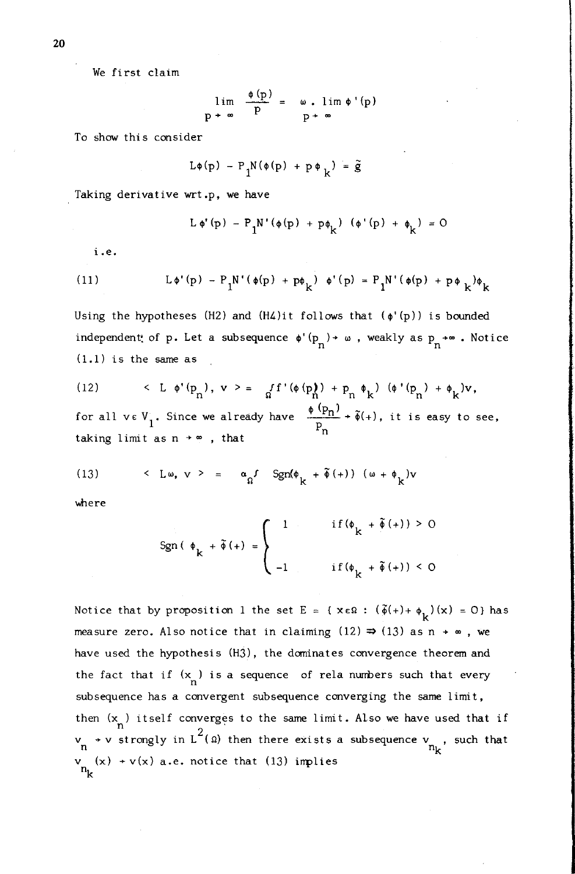We first claim

$$
\lim_{p \to \infty} \frac{\phi(p)}{p} = \omega \cdot \lim_{p \to \infty} \phi'(p)
$$

To show this consider

$$
L\phi(p) - P_1 N(\phi(p) + p \phi_k) = \tilde{g}
$$

Taking derivative wrt .p, we have

$$
L \phi'(p) - P_1 N' (\phi(p) + p \phi_k) (\phi'(p) + \phi_k) = 0
$$

i.e.

(11) 
$$
L \phi'(p) - P_1 N' (\phi(p) + p \phi_k) \phi'(p) = P_1 N' (\phi(p) + p \phi_k) \phi_k
$$

Using the hypotheses (H2) and (H4)it follows that ( $\phi'(p)$ ) is bounded independent: of p. Let a subsequence  $\phi'(\mathbf{p}_n)$  +  $\omega$ , weakly as  $\mathbf{p}_n$  + $\infty$ . Notice (1.1) is the same as

(12) 
$$
\langle L \phi'(p_n), v \rangle = f'(p(n)) + p_n \phi_k \quad (\phi'(p_n) + \phi_k)v,
$$
  
for all  $v \in V_i$ . Since we already have  $\frac{\phi(p_n)}{n} + \tilde{\phi}(+)$ , it is easy to see

for all  $v \in V_1$ . Since we already have taking limit as  $n \rightarrow \infty$ , that  $\bar{P}_n$ 

(13) 
$$
\langle L\omega, v \rangle = \alpha_0 f \operatorname{Sgn}(\phi_k + \tilde{\phi}(+) ) (\omega + \phi_k) v
$$

where

$$
\operatorname{Sgn}\left(\begin{array}{c}\phi_{k} + \tilde{\phi}\left(+\right) = \begin{cases} 1 & \text{if } \left(\phi_{k} + \tilde{\phi}\left(+\right)\right) > 0 \\ \ & \text{if } \left(\phi_{k} + \tilde{\phi}\left(+\right)\right) < 0 \end{cases} \end{array}
$$

Notice that by proposition 1 the set E = { $x \in \Omega$  :  $(\tilde{\phi}(+) + \phi_k)(x) = 0$ } has measure zero. Also notice that in claiming  $(12) \Rightarrow (13)$  as n  $+ \infty$ , we have used the hypothesis (H3), the dominates convergence theorem and the fact that if  $(x_n)$  is a sequence of rela numbers such that every subsequence has a convergent subsequence converging the same limit, then  $(x_n)$  itself converges to the same limit. Also we have used that if  $v \rightarrow v$  strongly in  $L^-(\Omega)$  then there exists a subsequence  $v \rightarrow \frac{m}{k}$  $v_{n_k}$  (x) + v(x) a.e. notice that (13) implies

20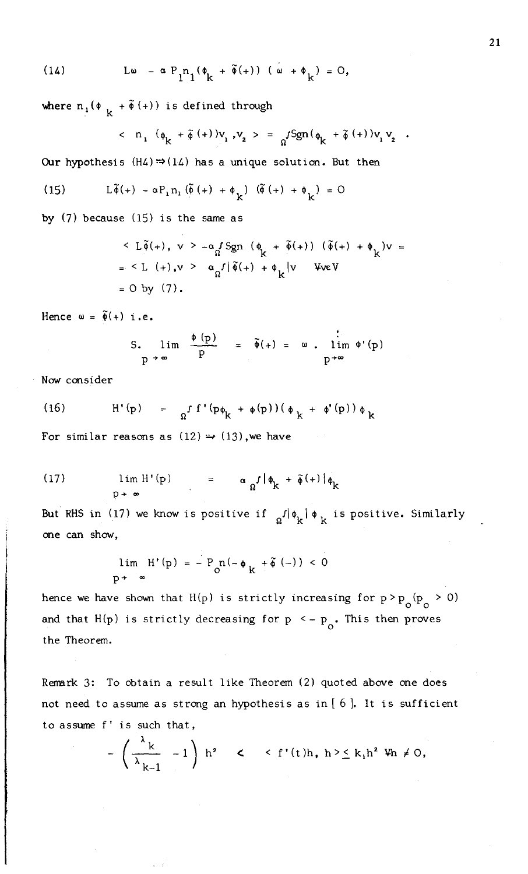(14) 
$$
L\omega - \alpha P_1 n_1(\phi_k + \tilde{\phi}(+)) (\omega + \phi_k) = 0,
$$

where  $n_1 (\phi_k + \tilde{\phi} (+))$  is defined through

$$
\langle n_1 (\phi_k + \tilde{\phi} (+))v_1, v_2 \rangle = a^{rSgn(\phi_k + \tilde{\phi} (+))v_1 v_2}
$$

Our hypothesis  $(H4) \Rightarrow (14)$  has a unique solution. But then

(15) 
$$
L\tilde{\phi}(+) - \alpha P_1 n_1 (\tilde{\phi}(+) + \phi_L) (\tilde{\phi}(+) + \phi_L) = 0
$$

by (7) because (15) is the same as

$$
\langle L\tilde{\phi}(+), v \rangle - \alpha_d \text{Sgn} (\phi_k + \tilde{\phi}(+)) (\tilde{\phi}(+) + \phi_k)v =
$$
  
=  $\langle L (+), v \rangle - \alpha_d \text{sin}(\tilde{\phi}(+) + \phi_k)v$  \nWeV  
= 0 by (7).

Hence  $\omega = \tilde{\phi}(+)$  i.e.

$$
\begin{array}{rcl}\n\mathsf{S.} & \lim & \frac{\phi(p)}{p} \\
\mathsf{p} \mathsf{+} \infty & \n\end{array} \qquad = \quad \tilde{\phi}(\mathsf{+}) = \omega \quad \text{lim} \quad \phi'(\mathsf{p})
$$

Nowconsider

(16) 
$$
H' (p) = \int f' (p \phi_L + \phi(p)) (\phi_L + \phi'(p)) \phi_L
$$

For similar reasons as  $(12) \rightarrow (13)$ , we have

(17) 
$$
\lim_{p \to \infty} H'(p) = \alpha_{\Omega} f |\phi_{k} + \tilde{\phi}(+) | \phi_{k}
$$

But RHS in (17) we know is positive if  $\frac{1}{R}$   $\phi_k \phi_k$  is positive. Similarly one can show,

$$
\lim_{p \to \infty} H'(p) = - P_0 n(-\phi_k + \tilde{\phi}(-)) < 0
$$

hence we have shown that H(p) is strictly increasing for  $p > p_0(p_0 > 0)$ and that H(p) is strictly decreasing for  $p \le -p$ . This then proves the Theorem.

Remark 3: To obtain a result like Theorem (2) quoted above one does not need to assume as strong an hypothesis as in [ 6]. It is sufficient to assume f' is such that,

$$
-\left(\frac{\lambda_k}{\lambda_{k-1}}-1\right) h^2 \quad < \quad \langle f'(t)h, h \rangle \leq k_1 h^2 \ \Psi h \neq 0,
$$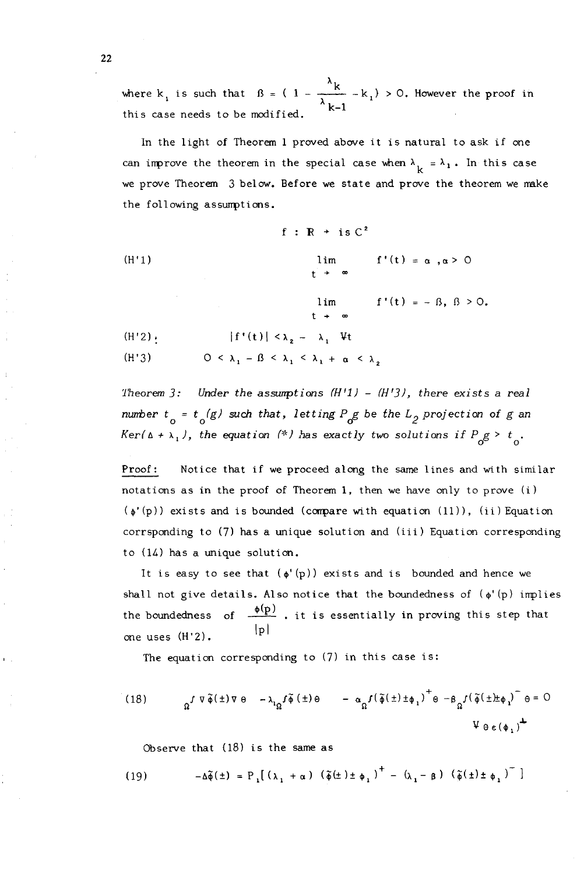where  $k_1$  is such that  $\beta = (1 - \frac{k}{\lambda})$ this case needs to be modified.  $\lambda_{k-1}$  -  $k_1$ ,  $>$  0. However the proof in

In the light of Theorem 1 proved above it is natural to ask if one can improve the theorem in the special case when  $\lambda_{\nu} = \lambda_1$ . In this case we prove Theorem 3 below. Before we state and prove the theorem we make the following assumptions.

$$
f: \mathbb{R} + is C^{2}
$$
\n(H'1)\n
$$
\lim_{t \to \infty} f'(t) = \alpha, \alpha > 0
$$
\n
$$
\lim_{t \to \infty} f'(t) = -\beta, \beta > 0.
$$
\n
$$
\lim_{t \to \infty} f'(t) = -\beta, \beta > 0.
$$
\n(H'2):\n
$$
|f'(t)| < \lambda_{2} - \lambda_{1} \quad \forall t
$$
\n(H'3)\n
$$
0 < \lambda_{1} - \beta < \lambda_{1} < \lambda_{1} + \alpha < \lambda_{2}
$$

*Theorem]: Under the assunptions (H'l)* - *(H']), there exists* a *real number*  $t_a = t_a(g)$  *such that, letting*  $P_g g$  *be the*  $L_g$  *projection* of g *an Ker(* $\Delta$  +  $\lambda$ <sub>1</sub>), *the equation* (\*) *has exactly two solutions if*  $P_g g > t_a$ .

Proof: Notice that if we proceed along the same lines and with similar notations as in the proof of Theorem I, then we have only to prove (i)  $(\phi'(p))$  exists and is bounded (compare with equation (11)), (ii) Equation corrsponding to (7) has a unique solution and (iii) Equation corresponding to (14) has a unique solution.

one uses (H'2). It is easy to see that  $(\phi'(p))$  exists and is bounded and hence we shall not give details. Also notice that the boundedness of  $(\phi' (p)$  implies the boundedness of  $\frac{\phi(p)}{p}$ . it is essentially in proving this step that Ipl

The equation corresponding to (7) in this case is:

(18) 
$$
\Omega^{\int \nabla \tilde{\phi}(\pm) \nabla \theta} - \lambda_{\Omega}^{\int \tilde{\phi}(\pm) \theta} - \alpha_{\Omega}^{\int (\tilde{\phi}(\pm) \pm \phi_1)}^{\dagger} \theta - \beta_{\Omega}^{\int (\tilde{\phi}(\pm) \pm \phi_1)}^{\dagger} \theta = 0
$$

Observe that (18) is the same as

(19) 
$$
-\Delta \widetilde{\phi}(\pm) = P_{1}[(\lambda_{1} + \alpha) (\widetilde{\phi}(\pm) \pm \phi_{1})^{\dagger} - (\lambda_{1} - \beta) (\widetilde{\phi}(\pm) \pm \phi_{1})^{\top}]
$$

22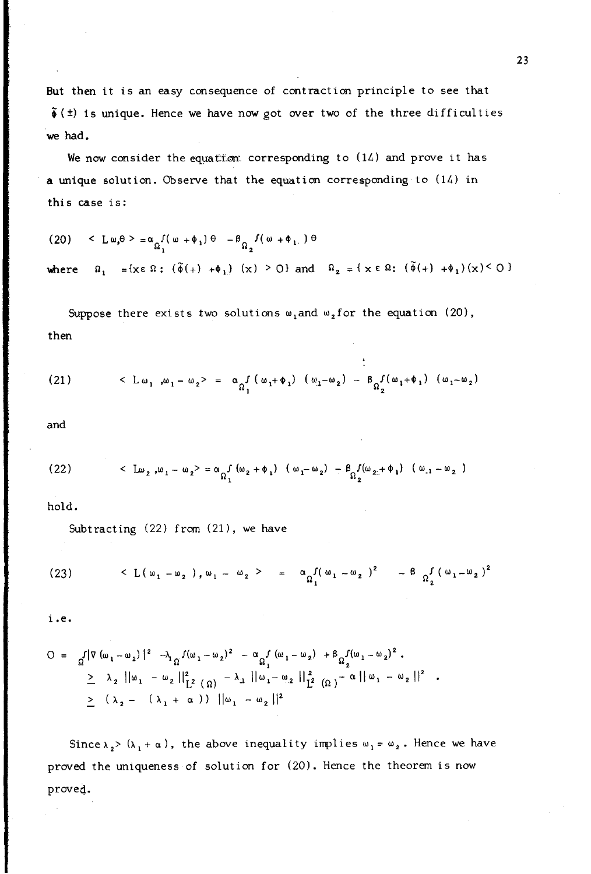But then it is an easy consequence of contraction principle to see that  $\tilde{\phi}$ ( $\pm$ ) is unique. Hence we have now got over two of the three difficulties we had.

We now consider the equation corresponding to  $(14)$  and prove it has a unique solution. Observe that the equation corresponding to (14) in this case is:

(20) 
$$
\langle L \omega, \theta \rangle = \alpha_{\Omega_1} f(\omega + \phi_1) \theta - \beta_{\Omega_2} f(\omega + \phi_1) \theta
$$
  
\nwhere  $\Omega_1 = \{x \in \Omega : (\tilde{\phi}(+) + \phi_1) (x) \ge 0\}$  and  $\Omega_2 = \{x \in \Omega : (\tilde{\phi}(+) + \phi_1) (x) \le 0\}$ 

Suppose there exists two solutions  $\omega_1$  and  $\omega_2$  for the equation (20), then

(21) 
$$
\langle L \omega_1, \omega_1 - \omega_2 \rangle = \alpha_0 f(\omega_1 + \phi_1) (\omega_1 - \omega_2) - \beta_0 f(\omega_1 + \phi_1) (\omega_1 - \omega_2)
$$

and

(22) 
$$
\langle \mu_2, \mu_1 - \omega_2 \rangle = \alpha_0 \int_1 (\omega_2 + \phi_1) (\omega_1 - \omega_2) - \beta_0 \int_2 (\omega_2 + \phi_1) (\omega_{11} - \omega_{2})
$$

hold.

Subtracting (22) from (21), we have

(23) 
$$
\langle L(\omega_1 - \omega_2), \omega_1 - \omega_2 \rangle = \alpha_0 \int_1^{\pi} (\omega_1 - \omega_2)^2 - \beta_0 \int_2^{\pi} (\omega_1 - \omega_2)^2
$$

i.e.

$$
O = \int_{\Omega} |\nabla (\omega_1 - \omega_2)|^2 \to \int_{\Omega} f(\omega_1 - \omega_2)^2 - \alpha_{\Omega} f(\omega_1 - \omega_2) + \beta_{\Omega} f(\omega_1 - \omega_2)^2.
$$
  
\n
$$
\geq \lambda_2 ||\omega_1 - \omega_2||_{L^2(\Omega)}^2 - \lambda_1 ||\omega_1 - \omega_2||_{L^2(\Omega)}^2 - \alpha ||\omega_1 - \omega_2||^2
$$
  
\n
$$
\geq (\lambda_2 - (\lambda_1 + \alpha)) ||\omega_1 - \omega_2||^2
$$

Since  $\lambda_2$  > ( $\lambda_1$  +  $\alpha$ ), the above inequality implies  $\omega_1 = \omega_2$ . Hence we have proved the uniqueness of solution for (20). Hence the theorem is now proved.